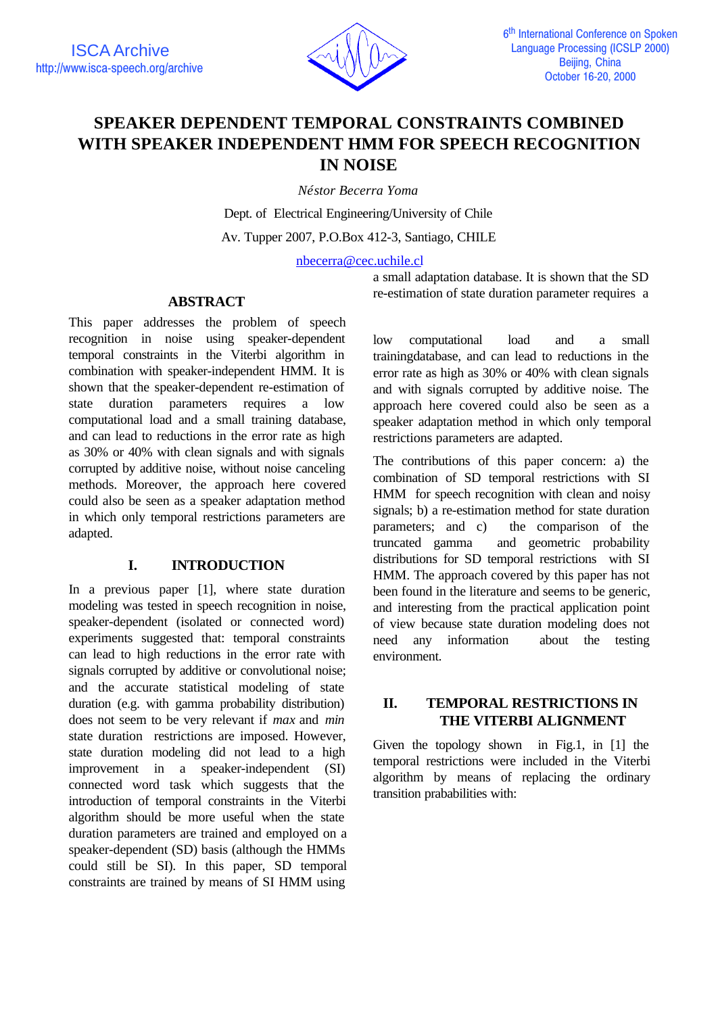

# **SPEAKER DEPENDENT TEMPORAL CONSTRAINTS COMBINED WITH SPEAKER INDEPENDENT HMM FOR SPEECH RECOGNITION IN NOISE**

*Néstor Becerra Yoma*

Dept. of Electrical Engineering/University of Chile Av. Tupper 2007, P.O.Box 412-3, Santiago, CHILE

nbecerra@cec.uchile.cl

a small adaptation database. It is shown that the SD re-estimation of state duration parameter requires a

# **ABSTRACT**

This paper addresses the problem of speech recognition in noise using speaker-dependent temporal constraints in the Viterbi algorithm in combination with speaker-independent HMM. It is shown that the speaker-dependent re-estimation of state duration parameters requires a low computational load and a small training database, and can lead to reductions in the error rate as high as 30% or 40% with clean signals and with signals corrupted by additive noise, without noise canceling methods. Moreover, the approach here covered could also be seen as a speaker adaptation method in which only temporal restrictions parameters are adapted.

## **I. INTRODUCTION**

In a previous paper [1], where state duration modeling was tested in speech recognition in noise, speaker-dependent (isolated or connected word) experiments suggested that: temporal constraints can lead to high reductions in the error rate with signals corrupted by additive or convolutional noise; and the accurate statistical modeling of state duration (e.g. with gamma probability distribution) does not seem to be very relevant if *max* and *min* state duration restrictions are imposed. However, state duration modeling did not lead to a high improvement in a speaker-independent (SI) connected word task which suggests that the introduction of temporal constraints in the Viterbi algorithm should be more useful when the state duration parameters are trained and employed on a speaker-dependent (SD) basis (although the HMMs could still be SI). In this paper, SD temporal constraints are trained by means of SI HMM using

low computational load and a small trainingdatabase, and can lead to reductions in the error rate as high as 30% or 40% with clean signals and with signals corrupted by additive noise. The approach here covered could also be seen as a speaker adaptation method in which only temporal restrictions parameters are adapted.

The contributions of this paper concern: a) the combination of SD temporal restrictions with SI HMM for speech recognition with clean and noisy signals; b) a re-estimation method for state duration parameters; and c) the comparison of the truncated gamma and geometric probability distributions for SD temporal restrictions with SI HMM. The approach covered by this paper has not been found in the literature and seems to be generic, and interesting from the practical application point of view because state duration modeling does not need any information about the testing environment.

# **II. TEMPORAL RESTRICTIONS IN THE VITERBI ALIGNMENT**

Given the topology shown in Fig.1, in [1] the temporal restrictions were included in the Viterbi algorithm by means of replacing the ordinary transition prababilities with: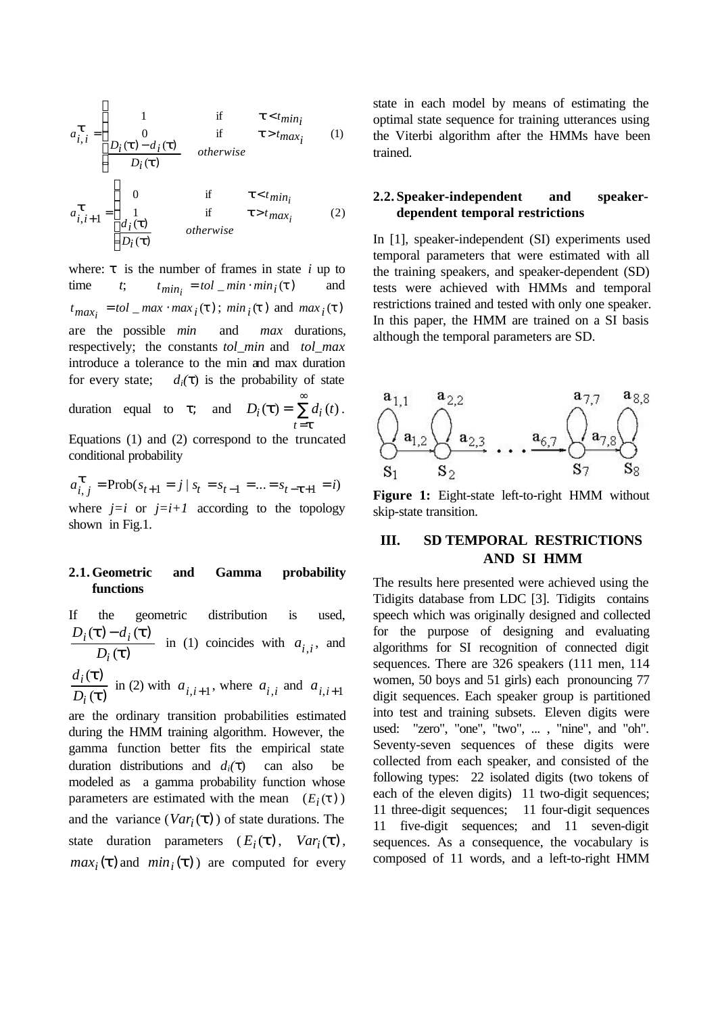$$
a_{i,i}^{\mathbf{t}} = \begin{cases} 1 & \text{if } \mathbf{t} < t_{min_i} \\ 0 & \text{if } \mathbf{t} > t_{max_i} \\ D_i(\mathbf{t}) - d_i(\mathbf{t}) & otherwise \end{cases}
$$
(1)  

$$
a_{i,i+1}^{\mathbf{t}} = \begin{cases} 0 & \text{if } \mathbf{t} < t_{min_i} \\ 1 & \text{if } \mathbf{t} > t_{max_i} \\ \frac{d_i(\mathbf{t})}{D_i(\mathbf{t})} & otherwise \end{cases}
$$
(2)

where:  $\tau$  is the number of frames in state *i* up to  $t$ ;  $t_{min_i} = tol_{min} \cdot min_i(t)$  and  $t_{max_i} = tol_{max} \cdot max_i(t)$ ;  $min_i(t)$  and  $max_i(t)$ are the possible *min* and *max* durations, respectively; the constants *tol\_min* and *tol\_max* introduce a tolerance to the min and max duration for every state;  $d_i(\tau)$  is the probability of state duration equal to  $\tau$ ; and  $D_i(\mathbf{t}) = \sum$ ∞ = *t t*  $D_i(\mathbf{t}) = \sum d_i(t)$ .

= *t* Equations (1) and (2) correspond to the truncated conditional probability

$$
a_{i,j}^{\text{t}} = \text{Prob}(s_{t+1} = j \mid s_t = s_{t-1} = ... = s_{t-\text{t}+1} = i)
$$
  
where  $j=i$  or  $j=i+1$  according to the topology  
shown in Fig.1.

### **2.1. Geometric and Gamma probability functions**

If the geometric distribution is used, )  $) - d_i(t)$ *t*  $(t) - d_i(t)$ (  $({\bf t}) - d_i$ *i*  $i(\mathbf{L})-a_i$ *D*  $D_i(t) - d$ in (1) coincides with  $a_{i,i}$ , and

) ) *t t* ( ( *i i D d* in (2) with  $a_{i,i+1}$ , where  $a_{i,i}$  and  $a_{i,i+1}$ 

are the ordinary transition probabilities estimated during the HMM training algorithm. However, the gamma function better fits the empirical state duration distributions and  $d_i(\tau)$  can also be modeled as a gamma probability function whose parameters are estimated with the mean  $(E_i(t))$ and the variance  $(Var_i(\mathbf{t}))$  of state durations. The state duration parameters  $(E_i(\mathbf{t}), Var_i(\mathbf{t}),$  $max_i(\mathbf{t})$  and  $min_i(\mathbf{t})$  are computed for every state in each model by means of estimating the optimal state sequence for training utterances using the Viterbi algorithm after the HMMs have been trained.

#### **2.2. Speaker-independent and speakerdependent temporal restrictions**

In [1], speaker-independent (SI) experiments used temporal parameters that were estimated with all the training speakers, and speaker-dependent (SD) tests were achieved with HMMs and temporal restrictions trained and tested with only one speaker. In this paper, the HMM are trained on a SI basis although the temporal parameters are SD.



**Figure 1:** Eight-state left-to-right HMM without skip-state transition.

## **III. SD TEMPORAL RESTRICTIONS AND SI HMM**

The results here presented were achieved using the Tidigits database from LDC [3]. Tidigits contains speech which was originally designed and collected for the purpose of designing and evaluating algorithms for SI recognition of connected digit sequences. There are 326 speakers (111 men, 114 women, 50 boys and 51 girls) each pronouncing 77 digit sequences. Each speaker group is partitioned into test and training subsets. Eleven digits were used: "zero", "one", "two", ... , "nine", and "oh". Seventy-seven sequences of these digits were collected from each speaker, and consisted of the following types: 22 isolated digits (two tokens of each of the eleven digits) 11 two-digit sequences; 11 three-digit sequences; 11 four-digit sequences 11 five-digit sequences; and 11 seven-digit sequences. As a consequence, the vocabulary is composed of 11 words, and a left-to-right HMM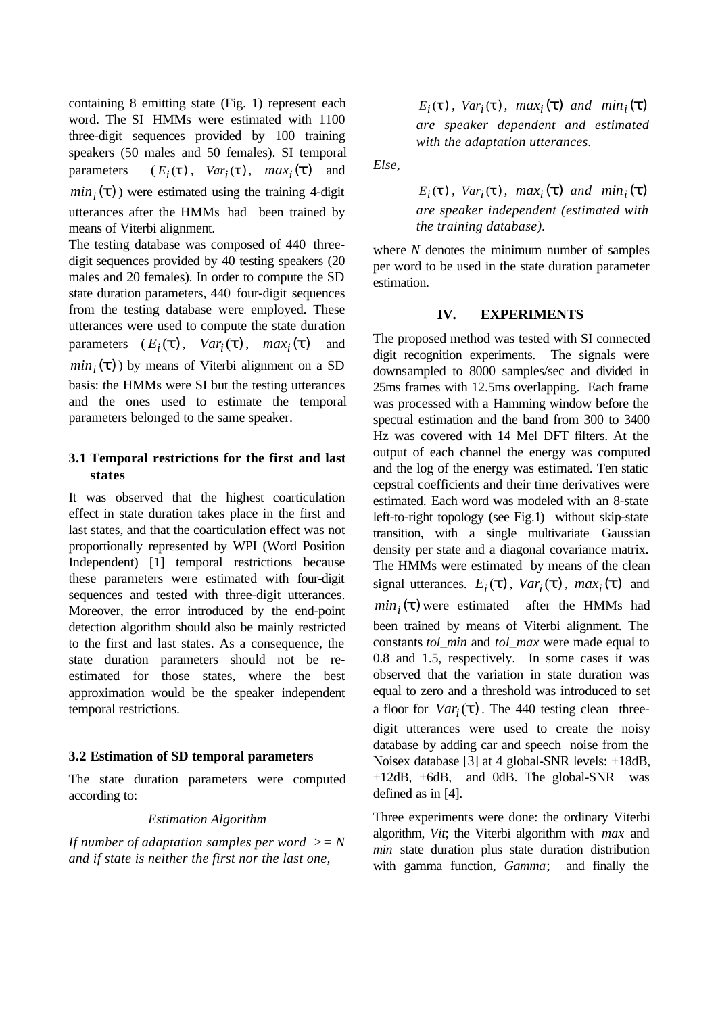containing 8 emitting state (Fig. 1) represent each word. The SI HMMs were estimated with 1100 three-digit sequences provided by 100 training speakers (50 males and 50 females). SI temporal  $parameters$ ,  $Var_i(t)$ ,  $max_i(t)$  and  $min_i(\mathbf{t})$  were estimated using the training 4-digit utterances after the HMMs had been trained by means of Viterbi alignment.

The testing database was composed of 440 threedigit sequences provided by 40 testing speakers (20 males and 20 females). In order to compute the SD state duration parameters, 440 four-digit sequences from the testing database were employed. These utterances were used to compute the state duration parameters  $(E_i(\mathbf{t}), Var_i(\mathbf{t}), max_i(\mathbf{t})$  and  $min_i(\mathbf{t})$  by means of Viterbi alignment on a SD basis: the HMMs were SI but the testing utterances and the ones used to estimate the temporal parameters belonged to the same speaker.

#### **3.1 Temporal restrictions for the first and last states**

It was observed that the highest coarticulation effect in state duration takes place in the first and last states, and that the coarticulation effect was not proportionally represented by WPI (Word Position Independent) [1] temporal restrictions because these parameters were estimated with four-digit sequences and tested with three-digit utterances. Moreover, the error introduced by the end-point detection algorithm should also be mainly restricted to the first and last states. As a consequence, the state duration parameters should not be reestimated for those states, where the best approximation would be the speaker independent temporal restrictions.

#### **3.2 Estimation of SD temporal parameters**

The state duration parameters were computed according to:

#### *Estimation Algorithm*

*If number of adaptation samples per word >= N and if state is neither the first nor the last one,*

 $E_i(t)$ ,  $Var_i(t)$ ,  $max_i(t)$  and  $min_i(t)$ *are speaker dependent and estimated with the adaptation utterances.*

*Else,*

 $E_i(t)$ ,  $Var_i(t)$ ,  $max_i(t)$  and  $min_i(t)$ *are speaker independent (estimated with the training database).*

where *N* denotes the minimum number of samples per word to be used in the state duration parameter estimation.

#### **IV. EXPERIMENTS**

The proposed method was tested with SI connected digit recognition experiments. The signals were downsampled to 8000 samples/sec and divided in 25ms frames with 12.5ms overlapping. Each frame was processed with a Hamming window before the spectral estimation and the band from 300 to 3400 Hz was covered with 14 Mel DFT filters. At the output of each channel the energy was computed and the log of the energy was estimated. Ten static cepstral coefficients and their time derivatives were estimated. Each word was modeled with an 8-state left-to-right topology (see Fig.1) without skip-state transition, with a single multivariate Gaussian density per state and a diagonal covariance matrix. The HMMs were estimated by means of the clean signal utterances.  $E_i(\mathbf{t})$ ,  $Var_i(\mathbf{t})$ ,  $max_i(\mathbf{t})$  and  $min_i(\mathbf{t})$  were estimated after the HMMs had been trained by means of Viterbi alignment. The constants *tol\_min* and *tol\_max* were made equal to 0.8 and 1.5, respectively. In some cases it was observed that the variation in state duration was equal to zero and a threshold was introduced to set a floor for  $Var_i(t)$ . The 440 testing clean threedigit utterances were used to create the noisy database by adding car and speech noise from the Noisex database [3] at 4 global-SNR levels: +18dB, +12dB, +6dB, and 0dB. The global-SNR was defined as in [4].

Three experiments were done: the ordinary Viterbi algorithm, *Vit*; the Viterbi algorithm with *max* and *min* state duration plus state duration distribution with gamma function, *Gamma*; and finally the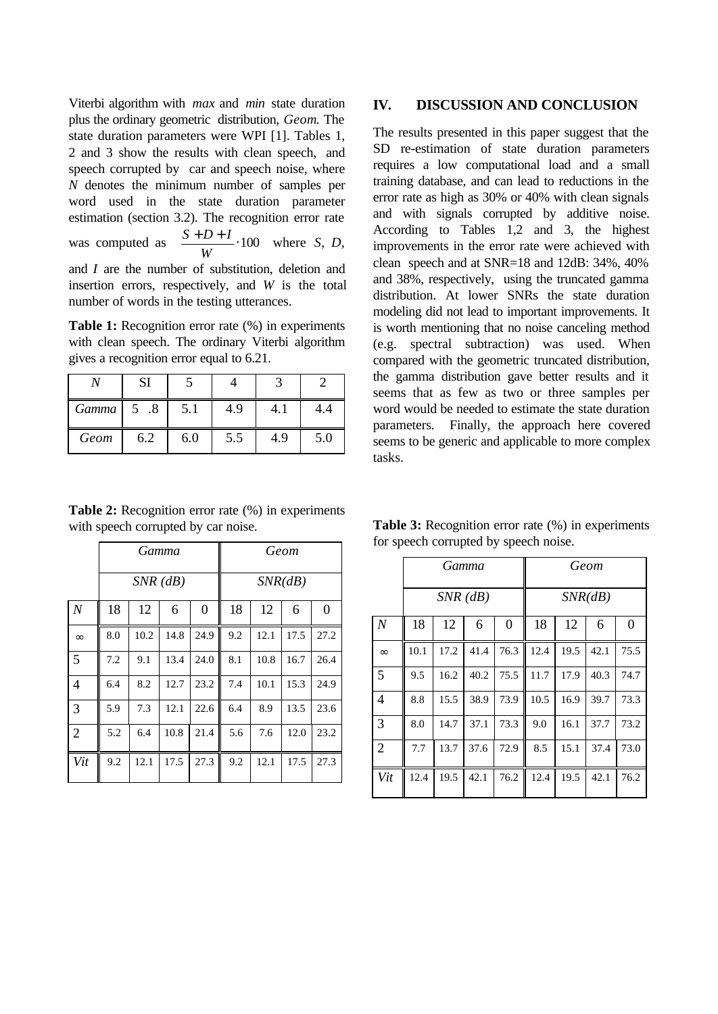Viterbi algorithm with *max* and *min* state duration plus the ordinary geometric distribution, *Geom*. The state duration parameters were WPI [1]. Tables 1, 2 and 3 show the results with clean speech, and speech corrupted by car and speech noise, where *N* denotes the minimum number of samples per word used in the state duration parameter estimation (section 3.2). The recognition error rate was computed as  $\frac{S+D+I}{V} \cdot 100$ *W*  $\frac{S+D+I}{S}$  100 where *S*, *D*, and *I* are the number of substitution, deletion and insertion errors, respectively, and *W* is the total number of words in the testing utterances.

**Table 1:** Recognition error rate (%) in experiments with clean speech. The ordinary Viterbi algorithm gives a recognition error equal to 6.21.

|       | SI   |     |     |     |     |  |
|-------|------|-----|-----|-----|-----|--|
| Gamma | 5 .8 | 5.1 | 4.9 |     |     |  |
| Geom  | 6.2  | 6.0 | 5.5 | 4.9 | 5.0 |  |

**Table 2:** Recognition error rate  $(\%)$  in experiments

with speech corrupted by car noise.

#### **IV. DISCUSSION AND CONCLUSION**

The results presented in this paper suggest that the SD re-estimation of state duration parameters requires a low computational load and a small training database, and can lead to reductions in the error rate as high as 30% or 40% with clean signals and with signals corrupted by additive noise. According to Tables 1,2 and 3, the highest improvements in the error rate were achieved with clean speech and at SNR=18 and 12dB: 34%, 40% and 38%, respectively, using the truncated gamma distribution. At lower SNRs the state duration modeling did not lead to important improvements. It is worth mentioning that no noise canceling method (e.g. spectral subtraction) was used. When compared with the geometric truncated distribution, the gamma distribution gave better results and it seems that as few as two or three samples per word would be needed to estimate the state duration parameters. Finally, the approach here covered seems to be generic and applicable to more complex tasks.

*Gamma Geom SNR (dB) SNR(dB) N* | 18 | 12 | 6 | 0 | 18 | 12 | 6 | 0 ∞ 8.0 10.2 14.8 24.9 9.2 12.1 17.5 27.2 5 7.2 9.1 13.4 24.0 8.1 10.8 16.7 26.4 4 6.4 8.2 12.7 23.2 7.4 10.1 15.3 24.9 3 5.9 7.3 12.1 22.6 6.4 8.9 13.5 23.6 2 5.2 6.4 10.8 21.4 5.6 7.6 12.0 23.2 *Vit* 9.2 12.1 17.5 27.3 9.2 12.1 17.5 27.3

**Table 3:** Recognition error rate (%) in experiments for speech corrupted by speech noise.

|                  | Gamma<br>$SNR$ ( $dB$ ) |      |      |          | Geom    |      |      |                |
|------------------|-------------------------|------|------|----------|---------|------|------|----------------|
|                  |                         |      |      |          | SNR(dB) |      |      |                |
| $\boldsymbol{N}$ | 18                      | 12   | 6    | $\theta$ | 18      | 12   | 6    | $\overline{0}$ |
| $\infty$         | 10.1                    | 17.2 | 41.4 | 76.3     | 12.4    | 19.5 | 42.1 | 75.5           |
| 5                | 9.5                     | 16.2 | 40.2 | 75.5     | 11.7    | 17.9 | 40.3 | 74.7           |
| $\overline{4}$   | 8.8                     | 15.5 | 38.9 | 73.9     | 10.5    | 16.9 | 39.7 | 73.3           |
| 3                | 8.0                     | 14.7 | 37.1 | 73.3     | 9.0     | 16.1 | 37.7 | 73.2           |
| $\overline{2}$   | 7.7                     | 13.7 | 37.6 | 72.9     | 8.5     | 15.1 | 37.4 | 73.0           |
| Vit              | 12.4                    | 19.5 | 42.1 | 76.2     | 12.4    | 19.5 | 42.1 | 76.2           |